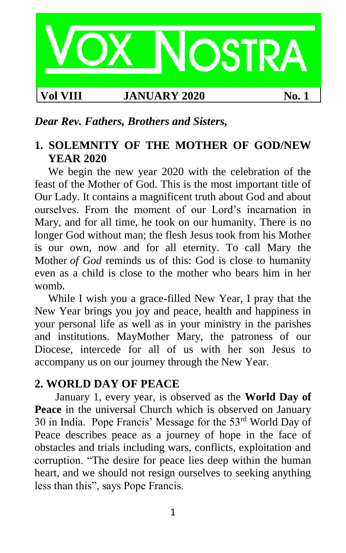

*Dear Rev. Fathers, Brothers and Sisters,*

## **1. SOLEMNITY OF THE MOTHER OF GOD/NEW YEAR 2020**

We begin the new year 2020 with the celebration of the feast of the Mother of God. This is the most important title of Our Lady. It contains a magnificent truth about God and about ourselves. From the moment of our Lord's incarnation in Mary, and for all time, he took on our humanity. There is no longer God without man; the flesh Jesus took from his Mother is our own, now and for all eternity. To call Mary the Mother *of God* reminds us of this: God is close to humanity even as a child is close to the mother who bears him in her womb.

While I wish you a grace-filled New Year, I pray that the New Year brings you joy and peace, health and happiness in your personal life as well as in your ministry in the parishes and institutions. MayMother Mary, the patroness of our Diocese, intercede for all of us with her son Jesus to accompany us on our journey through the New Year.

#### **2. WORLD DAY OF PEACE**

January 1, every year, is observed as the **World Day of Peace** in the universal Church which is observed on January 30 in India. Pope Francis' Message for the 53rd World Day of Peace describes peace as a journey of hope in the face of obstacles and trials including wars, conflicts, exploitation and corruption. "The desire for peace lies deep within the human heart, and we should not resign ourselves to seeking anything less than this", says Pope Francis.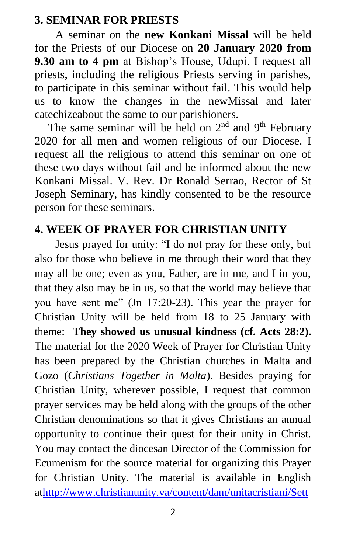#### **3. SEMINAR FOR PRIESTS**

A seminar on the **new Konkani Missal** will be held for the Priests of our Diocese on **20 January 2020 from 9.30 am to 4 pm** at Bishop's House, Udupi. I request all priests, including the religious Priests serving in parishes, to participate in this seminar without fail. This would help us to know the changes in the newMissal and later catechizeabout the same to our parishioners.

The same seminar will be held on  $2<sup>nd</sup>$  and  $9<sup>th</sup>$  February 2020 for all men and women religious of our Diocese. I request all the religious to attend this seminar on one of these two days without fail and be informed about the new Konkani Missal. V. Rev. Dr Ronald Serrao, Rector of St Joseph Seminary, has kindly consented to be the resource person for these seminars.

## **4. WEEK OF PRAYER FOR CHRISTIAN UNITY**

Jesus prayed for unity: "I do not pray for these only, but also for those who believe in me through their word that they may all be one; even as you, Father, are in me, and I in you, that they also may be in us, so that the world may believe that you have sent me" (Jn 17:20-23). This year the prayer for Christian Unity will be held from 18 to 25 January with theme: **They showed us unusual kindness (cf. Acts 28:2).** The material for the 2020 Week of Prayer for Christian Unity has been prepared by the Christian churches in Malta and Gozo (*Christians Together in Malta*). Besides praying for Christian Unity, wherever possible, I request that common prayer services may be held along with the groups of the other Christian denominations so that it gives Christians an annual opportunity to continue their quest for their unity in Christ. You may contact the diocesan Director of the Commission for Ecumenism for the source material for organizing this Prayer for Christian Unity. The material is available in English a[thttp://www.christianunity.va/content/dam/unitacristiani/Sett](http://www.christianunity.va/content/dam/unitacristiani/Settimana%20di%20preghiera%20per%20unit%C3%A0/2020/ENG%202020%20Booklet.pdf)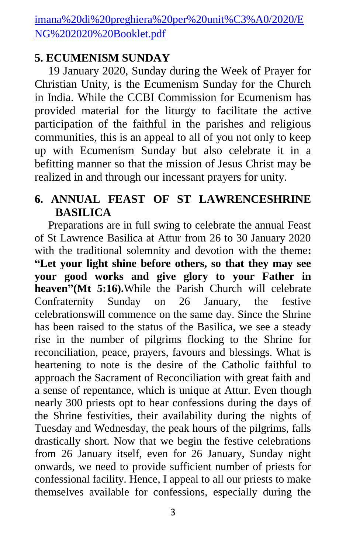[imana%20di%20preghiera%20per%20unit%C3%A0/2020/E](http://www.christianunity.va/content/dam/unitacristiani/Settimana%20di%20preghiera%20per%20unit%C3%A0/2020/ENG%202020%20Booklet.pdf) [NG%202020%20Booklet.pdf](http://www.christianunity.va/content/dam/unitacristiani/Settimana%20di%20preghiera%20per%20unit%C3%A0/2020/ENG%202020%20Booklet.pdf)

#### **5. ECUMENISM SUNDAY**

19 January 2020, Sunday during the Week of Prayer for Christian Unity, is the Ecumenism Sunday for the Church in India. While the CCBI Commission for Ecumenism has provided material for the liturgy to facilitate the active participation of the faithful in the parishes and religious communities, this is an appeal to all of you not only to keep up with Ecumenism Sunday but also celebrate it in a befitting manner so that the mission of Jesus Christ may be realized in and through our incessant prayers for unity.

## **6. ANNUAL FEAST OF ST LAWRENCESHRINE BASILICA**

Preparations are in full swing to celebrate the annual Feast of St Lawrence Basilica at Attur from 26 to 30 January 2020 with the traditional solemnity and devotion with the theme**: "Let your light shine before others, so that they may see your good works and give glory to your Father in heaven"(Mt 5:16).**While the Parish Church will celebrate Confraternity Sunday on 26 January, the festive celebrationswill commence on the same day. Since the Shrine has been raised to the status of the Basilica, we see a steady rise in the number of pilgrims flocking to the Shrine for reconciliation, peace, prayers, favours and blessings. What is heartening to note is the desire of the Catholic faithful to approach the Sacrament of Reconciliation with great faith and a sense of repentance, which is unique at Attur. Even though nearly 300 priests opt to hear confessions during the days of the Shrine festivities, their availability during the nights of Tuesday and Wednesday, the peak hours of the pilgrims, falls drastically short. Now that we begin the festive celebrations from 26 January itself, even for 26 January, Sunday night onwards, we need to provide sufficient number of priests for confessional facility. Hence, I appeal to all our priests to make themselves available for confessions, especially during the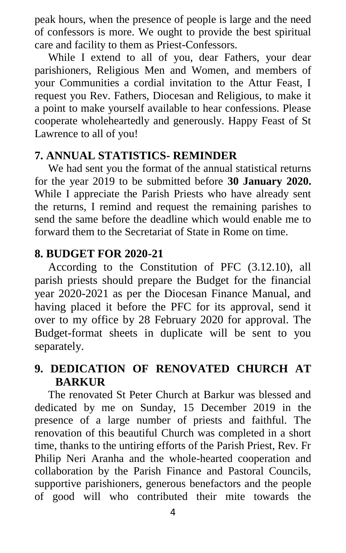peak hours, when the presence of people is large and the need of confessors is more. We ought to provide the best spiritual care and facility to them as Priest-Confessors.

While I extend to all of you, dear Fathers, your dear parishioners, Religious Men and Women, and members of your Communities a cordial invitation to the Attur Feast, I request you Rev. Fathers, Diocesan and Religious, to make it a point to make yourself available to hear confessions. Please cooperate wholeheartedly and generously. Happy Feast of St Lawrence to all of you!

#### **7. ANNUAL STATISTICS- REMINDER**

We had sent you the format of the annual statistical returns for the year 2019 to be submitted before **30 January 2020.**  While I appreciate the Parish Priests who have already sent the returns, I remind and request the remaining parishes to send the same before the deadline which would enable me to forward them to the Secretariat of State in Rome on time.

#### **8. BUDGET FOR 2020-21**

According to the Constitution of PFC (3.12.10), all parish priests should prepare the Budget for the financial year 2020-2021 as per the Diocesan Finance Manual, and having placed it before the PFC for its approval, send it over to my office by 28 February 2020 for approval. The Budget-format sheets in duplicate will be sent to you separately.

## **9. DEDICATION OF RENOVATED CHURCH AT BARKUR**

The renovated St Peter Church at Barkur was blessed and dedicated by me on Sunday, 15 December 2019 in the presence of a large number of priests and faithful. The renovation of this beautiful Church was completed in a short time, thanks to the untiring efforts of the Parish Priest, Rev. Fr Philip Neri Aranha and the whole-hearted cooperation and collaboration by the Parish Finance and Pastoral Councils, supportive parishioners, generous benefactors and the people of good will who contributed their mite towards the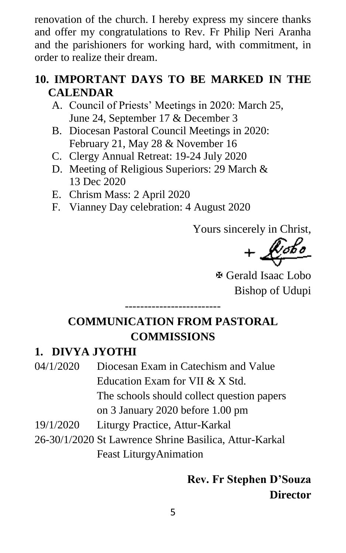renovation of the church. I hereby express my sincere thanks and offer my congratulations to Rev. Fr Philip Neri Aranha and the parishioners for working hard, with commitment, in order to realize their dream.

## **10. IMPORTANT DAYS TO BE MARKED IN THE CALENDAR**

- A. Council of Priests' Meetings in 2020: March 25, June 24, September 17 & December 3
- B. Diocesan Pastoral Council Meetings in 2020: February 21, May 28 & November 16
- C. Clergy Annual Retreat: 19-24 July 2020
- D. Meeting of Religious Superiors: 29 March & 13 Dec 2020
- E. Chrism Mass: 2 April 2020
- F. Vianney Day celebration: 4 August 2020

Yours sincerely in Christ,

 $+\sqrt{\mathscr{C}^{obs}}$ 

 Gerald Isaac Lobo Bishop of Udupi

## **COMMUNICATION FROM PASTORAL COMMISSIONS**

-------------------------

## **1. DIVYA JYOTHI**

- 04/1/2020 Diocesan Exam in Catechism and Value Education Exam for VII & X Std. The schools should collect question papers on 3 January 2020 before 1.00 pm
- 19/1/2020 Liturgy Practice, Attur-Karkal
- 26-30/1/2020 St Lawrence Shrine Basilica, Attur-Karkal Feast LiturgyAnimation

## **Rev. Fr Stephen D'Souza Director**